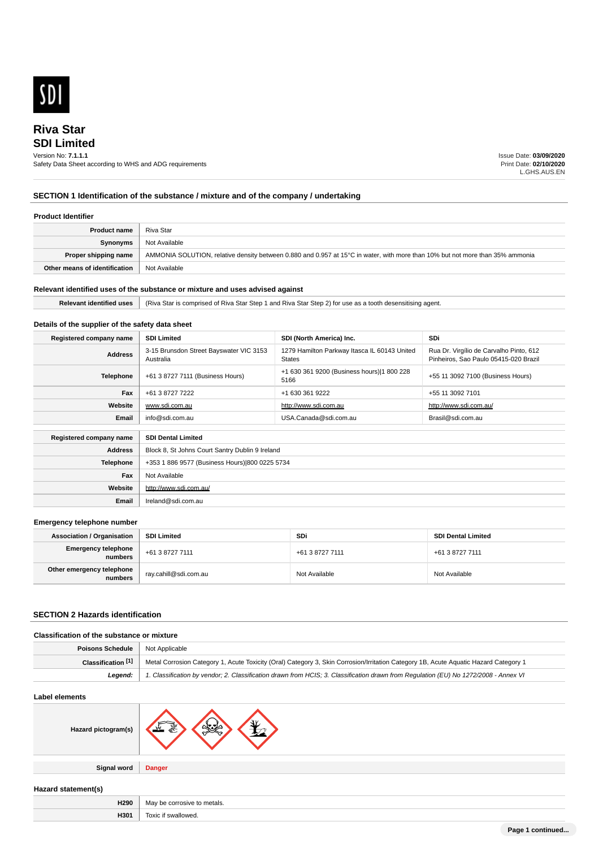

# **SDI Limited Riva Star**

### Version No: **7.1.1.1**

Safety Data Sheet according to WHS and ADG requirements

Issue Date: **03/09/2020** Print Date: **02/10/2020** L.GHS.AUS.EN

# **SECTION 1 Identification of the substance / mixture and of the company / undertaking**

### **Product Identifier**

| <b>Product name</b>           | Riva Star                                                                                                                     |
|-------------------------------|-------------------------------------------------------------------------------------------------------------------------------|
| Synonyms                      | Not Available                                                                                                                 |
| Proper shipping name          | AMMONIA SOLUTION, relative density between 0.880 and 0.957 at 15°C in water, with more than 10% but not more than 35% ammonia |
| Other means of identification | Not Available                                                                                                                 |

# **Relevant identified uses of the substance or mixture and uses advised against**

**Relevant identified uses** (Riva Star is comprised of Riva Star Step 1 and Riva Star Step 2) for use as a tooth desensitising agent.

# **Details of the supplier of the safety data sheet**

| Registered company name | <b>SDI Limited</b>                                   | SDI (North America) Inc.                                      | <b>SDi</b>                                                                       |
|-------------------------|------------------------------------------------------|---------------------------------------------------------------|----------------------------------------------------------------------------------|
| <b>Address</b>          | 3-15 Brunsdon Street Bayswater VIC 3153<br>Australia | 1279 Hamilton Parkway Itasca IL 60143 United<br><b>States</b> | Rua Dr. Virgílio de Carvalho Pinto, 612<br>Pinheiros, Sao Paulo 05415-020 Brazil |
| <b>Telephone</b>        | +61 3 8727 7111 (Business Hours)                     | +1 630 361 9200 (Business hours) 1 800 228<br>5166            | +55 11 3092 7100 (Business Hours)                                                |
| Fax                     | +61 3 8727 7222                                      | +1 630 361 9222                                               | +55 11 3092 7101                                                                 |
| Website                 | www.sdi.com.au                                       | http://www.sdi.com.au                                         | http://www.sdi.com.au/                                                           |
| Email                   | info@sdi.com.au                                      | USA.Canada@sdi.com.au                                         | Brasil@sdi.com.au                                                                |
| Registered company name | <b>SDI Dental Limited</b>                            |                                                               |                                                                                  |
| <b>Address</b>          | Block 8, St Johns Court Santry Dublin 9 Ireland      |                                                               |                                                                                  |
| <b>Telephone</b>        | +353 1 886 9577 (Business Hours) 800 0225 5734       |                                                               |                                                                                  |
| Fax                     | Not Available                                        |                                                               |                                                                                  |
| Website                 | http://www.sdi.com.au/                               |                                                               |                                                                                  |
| Email                   | Ireland@sdi.com.au                                   |                                                               |                                                                                  |

### **Emergency telephone number**

| <b>Association / Organisation</b>    | <b>SDI Limited</b>    | <b>SDi</b>      | <b>SDI Dental Limited</b> |
|--------------------------------------|-----------------------|-----------------|---------------------------|
| Emergency telephone<br>numbers       | +61 3 8727 7111       | +61 3 8727 7111 | +61 3 8727 7111           |
| Other emergency telephone<br>numbers | ray.cahill@sdi.com.au | Not Available   | Not Available             |

# **SECTION 2 Hazards identification**

| Poisons Schedule  <br>Not Applicable                                                                                                                       |  |
|------------------------------------------------------------------------------------------------------------------------------------------------------------|--|
| Metal Corrosion Category 1, Acute Toxicity (Oral) Category 3, Skin Corrosion/Irritation Category 1B, Acute Aquatic Hazard Category 1<br>Classification [1] |  |
| 1. Classification by vendor; 2. Classification drawn from HCIS; 3. Classification drawn from Requlation (EU) No 1272/2008 - Annex VI<br>Leaend:            |  |

### **Label elements**

| ---------------     |               |  |
|---------------------|---------------|--|
| Hazard pictogram(s) | ٦V<br>مصطما   |  |
|                     |               |  |
| <b>Signal word</b>  | <b>Danger</b> |  |

### **Hazard statement(s)**

| H290<br>and the state of the state of the | ,,,,<br>eetals<br>. .<br>COLLUCI<br>יי |
|-------------------------------------------|----------------------------------------|
| H301                                      | Toxic<br>if swallowed.                 |
|                                           |                                        |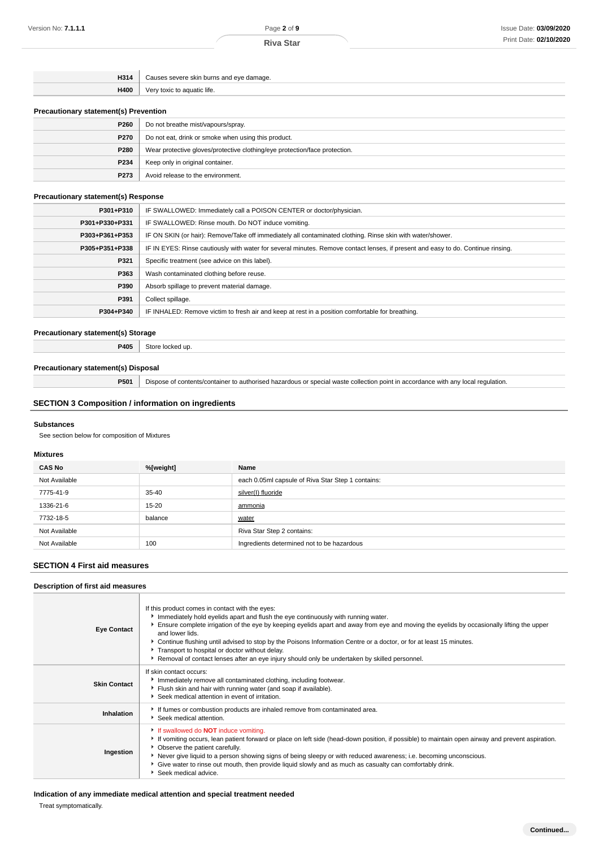**Riva Star**

| H314 | Causes severe skin burns and eve damage. |
|------|------------------------------------------|
| H400 | Very toxic to aguatic life.              |

### **Precautionary statement(s) Prevention**

| P260        | Do not breathe mist/vapours/spray.                                         |  |
|-------------|----------------------------------------------------------------------------|--|
| <b>P270</b> | Do not eat, drink or smoke when using this product.                        |  |
| <b>P280</b> | Wear protective gloves/protective clothing/eye protection/face protection. |  |
| P234        | Keep only in original container.                                           |  |
| P273        | Avoid release to the environment.                                          |  |

### **Precautionary statement(s) Response**

| P301+P310      | IF SWALLOWED: Immediately call a POISON CENTER or doctor/physician.                                                              |
|----------------|----------------------------------------------------------------------------------------------------------------------------------|
| P301+P330+P331 | IF SWALLOWED: Rinse mouth. Do NOT induce vomiting.                                                                               |
| P303+P361+P353 | IF ON SKIN (or hair): Remove/Take off immediately all contaminated clothing. Rinse skin with water/shower.                       |
| P305+P351+P338 | IF IN EYES: Rinse cautiously with water for several minutes. Remove contact lenses, if present and easy to do. Continue rinsing. |
| P321           | Specific treatment (see advice on this label).                                                                                   |
| P363           | Wash contaminated clothing before reuse.                                                                                         |
| P390           | Absorb spillage to prevent material damage.                                                                                      |
| P391           | Collect spillage.                                                                                                                |
| P304+P340      | IF INHALED: Remove victim to fresh air and keep at rest in a position comfortable for breathing.                                 |

### **Precautionary statement(s) Storage**

**P405** Store locked up.

# **Precautionary statement(s) Disposal**

**P501** Dispose of contents/container to authorised hazardous or special waste collection point in accordance with any local regulation.

# **SECTION 3 Composition / information on ingredients**

### **Substances**

See section below for composition of Mixtures

### **Mixtures**

| <b>CAS No</b> | %[weight] | Name                                              |
|---------------|-----------|---------------------------------------------------|
| Not Available |           | each 0.05ml capsule of Riva Star Step 1 contains: |
| 7775-41-9     | $35 - 40$ | silver(I) fluoride                                |
| 1336-21-6     | $15 - 20$ | ammonia                                           |
| 7732-18-5     | balance   | water                                             |
| Not Available |           | Riva Star Step 2 contains:                        |
| Not Available | 100       | Ingredients determined not to be hazardous        |

### **SECTION 4 First aid measures**

# **Description of first aid measures**

| <b>Eye Contact</b>  | If this product comes in contact with the eyes:<br>Immediately hold eyelids apart and flush the eye continuously with running water.<br>Ensure complete irrigation of the eye by keeping eyelids apart and away from eye and moving the eyelids by occasionally lifting the upper<br>and lower lids.<br>▶ Continue flushing until advised to stop by the Poisons Information Centre or a doctor, or for at least 15 minutes.<br>Transport to hospital or doctor without delay.<br>Removal of contact lenses after an eye injury should only be undertaken by skilled personnel. |
|---------------------|---------------------------------------------------------------------------------------------------------------------------------------------------------------------------------------------------------------------------------------------------------------------------------------------------------------------------------------------------------------------------------------------------------------------------------------------------------------------------------------------------------------------------------------------------------------------------------|
| <b>Skin Contact</b> | If skin contact occurs:<br>Immediately remove all contaminated clothing, including footwear.<br>Flush skin and hair with running water (and soap if available).<br>Seek medical attention in event of irritation.                                                                                                                                                                                                                                                                                                                                                               |
| Inhalation          | If fumes or combustion products are inhaled remove from contaminated area.<br>Seek medical attention.                                                                                                                                                                                                                                                                                                                                                                                                                                                                           |
| Ingestion           | If swallowed do <b>NOT</b> induce vomiting.<br>If vomiting occurs, lean patient forward or place on left side (head-down position, if possible) to maintain open airway and prevent aspiration.<br>• Observe the patient carefully.<br>Never give liquid to a person showing signs of being sleepy or with reduced awareness; i.e. becoming unconscious.<br>Give water to rinse out mouth, then provide liquid slowly and as much as casualty can comfortably drink.<br>Seek medical advice.                                                                                    |

# **Indication of any immediate medical attention and special treatment needed**

Treat symptomatically.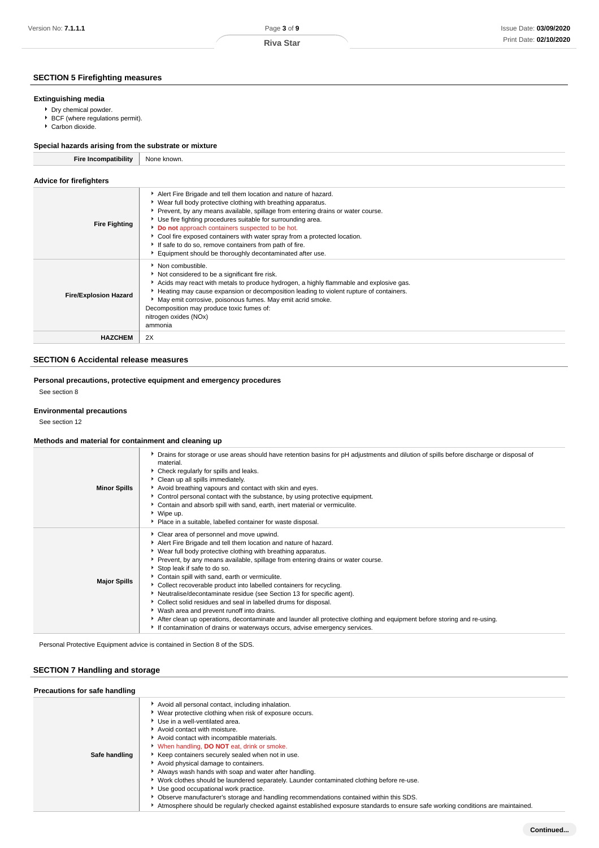**Riva Star**

# **SECTION 5 Firefighting measures**

### **Extinguishing media**

- Dry chemical powder.
- ▶ BCF (where regulations permit).
- Carbon dioxide.

| Special hazards arising from the substrate or mixture |                                                                                                                                                                                                                                                                                                                                                                                                                                                                                                                                            |  |
|-------------------------------------------------------|--------------------------------------------------------------------------------------------------------------------------------------------------------------------------------------------------------------------------------------------------------------------------------------------------------------------------------------------------------------------------------------------------------------------------------------------------------------------------------------------------------------------------------------------|--|
| <b>Fire Incompatibility</b>                           | None known.                                                                                                                                                                                                                                                                                                                                                                                                                                                                                                                                |  |
| <b>Advice for firefighters</b>                        |                                                                                                                                                                                                                                                                                                                                                                                                                                                                                                                                            |  |
| <b>Fire Fighting</b>                                  | Alert Fire Brigade and tell them location and nature of hazard.<br>▶ Wear full body protective clothing with breathing apparatus.<br>▶ Prevent, by any means available, spillage from entering drains or water course.<br>Use fire fighting procedures suitable for surrounding area.<br>Do not approach containers suspected to be hot.<br>Cool fire exposed containers with water spray from a protected location.<br>If safe to do so, remove containers from path of fire.<br>Equipment should be thoroughly decontaminated after use. |  |
| <b>Fire/Explosion Hazard</b>                          | Non combustible.<br>Not considered to be a significant fire risk.<br>Acids may react with metals to produce hydrogen, a highly flammable and explosive gas.<br>Heating may cause expansion or decomposition leading to violent rupture of containers.<br>May emit corrosive, poisonous fumes. May emit acrid smoke.<br>Decomposition may produce toxic fumes of:<br>nitrogen oxides (NOx)<br>ammonia                                                                                                                                       |  |
| <b>HAZCHEM</b>                                        | 2X                                                                                                                                                                                                                                                                                                                                                                                                                                                                                                                                         |  |

# **SECTION 6 Accidental release measures**

# **Personal precautions, protective equipment and emergency procedures**

See section 8

### **Environmental precautions**

See section 12

### **Methods and material for containment and cleaning up**

| <b>Minor Spills</b> | > Drains for storage or use areas should have retention basins for pH adjustments and dilution of spills before discharge or disposal of<br>material.<br>Check regularly for spills and leaks.<br>Clean up all spills immediately.<br>Avoid breathing vapours and contact with skin and eyes.<br>► Control personal contact with the substance, by using protective equipment.<br>• Contain and absorb spill with sand, earth, inert material or vermiculite.<br>▶ Wipe up.<br>• Place in a suitable, labelled container for waste disposal.                                                                                                                                                                                                                                                                                         |
|---------------------|--------------------------------------------------------------------------------------------------------------------------------------------------------------------------------------------------------------------------------------------------------------------------------------------------------------------------------------------------------------------------------------------------------------------------------------------------------------------------------------------------------------------------------------------------------------------------------------------------------------------------------------------------------------------------------------------------------------------------------------------------------------------------------------------------------------------------------------|
| <b>Major Spills</b> | • Clear area of personnel and move upwind.<br>Alert Fire Brigade and tell them location and nature of hazard.<br>▶ Wear full body protective clothing with breathing apparatus.<br>▶ Prevent, by any means available, spillage from entering drains or water course.<br>Stop leak if safe to do so.<br>Contain spill with sand, earth or vermiculite.<br>• Collect recoverable product into labelled containers for recycling.<br>Neutralise/decontaminate residue (see Section 13 for specific agent).<br>• Collect solid residues and seal in labelled drums for disposal.<br>▶ Wash area and prevent runoff into drains.<br>After clean up operations, decontaminate and launder all protective clothing and equipment before storing and re-using.<br>If contamination of drains or waterways occurs, advise emergency services. |

Personal Protective Equipment advice is contained in Section 8 of the SDS.

# **SECTION 7 Handling and storage**

| Precautions for safe handling |                                                                                                                                                                                                                                                                                                                                                                                                                                                                                                                                                                                                                                                                                                                                                                                                            |
|-------------------------------|------------------------------------------------------------------------------------------------------------------------------------------------------------------------------------------------------------------------------------------------------------------------------------------------------------------------------------------------------------------------------------------------------------------------------------------------------------------------------------------------------------------------------------------------------------------------------------------------------------------------------------------------------------------------------------------------------------------------------------------------------------------------------------------------------------|
| Safe handling                 | Avoid all personal contact, including inhalation.<br>• Wear protective clothing when risk of exposure occurs.<br>▶ Use in a well-ventilated area.<br>Avoid contact with moisture.<br>Avoid contact with incompatible materials.<br>V When handling, DO NOT eat, drink or smoke.<br>Keep containers securely sealed when not in use.<br>Avoid physical damage to containers.<br>Always wash hands with soap and water after handling.<br>▶ Work clothes should be laundered separately. Launder contaminated clothing before re-use.<br>Use good occupational work practice.<br>▶ Observe manufacturer's storage and handling recommendations contained within this SDS.<br>Atmosphere should be regularly checked against established exposure standards to ensure safe working conditions are maintained. |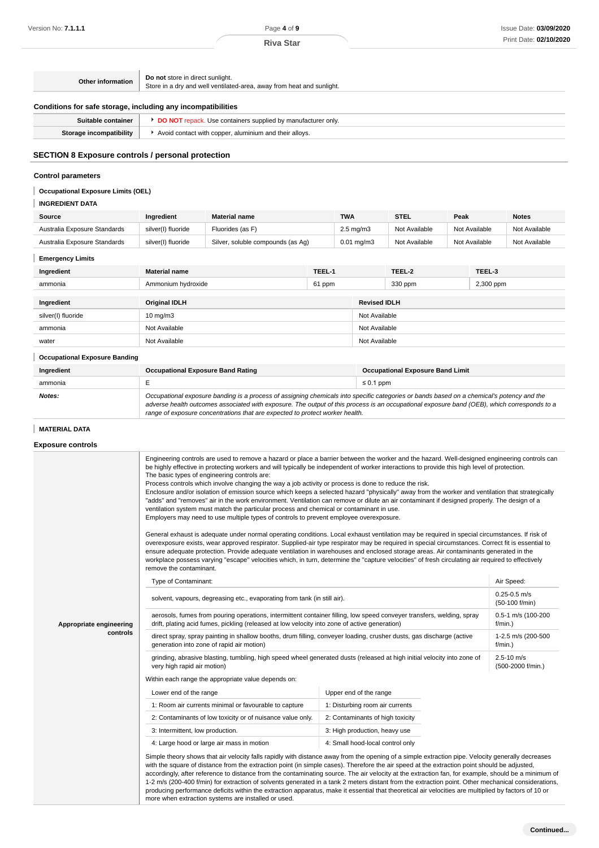| Other information                                            | Do not store in direct sunlight.<br>Store in a dry and well ventilated-area, away from heat and sunlight. |  |
|--------------------------------------------------------------|-----------------------------------------------------------------------------------------------------------|--|
| Conditions for safe storage, including any incompatibilities |                                                                                                           |  |
| Suitable container                                           | <b>DO NOT</b> repack. Use containers supplied by manufacturer only.                                       |  |
| Storage incompatibility                                      | Avoid contact with copper, aluminium and their alloys.                                                    |  |
|                                                              |                                                                                                           |  |

# **SECTION 8 Exposure controls / personal protection**

# **Control parameters**

# **Occupational Exposure Limits (OEL)**

# **INGREDIENT DATA**

| Source                       | Ingredient         | <b>Material name</b>              | <b>TWA</b>            | <b>STEL</b>   | Peak          | <b>Notes</b>  |
|------------------------------|--------------------|-----------------------------------|-----------------------|---------------|---------------|---------------|
| Australia Exposure Standards | silver(I) fluoride | Fluorides (as F)                  | $2.5 \text{ mg/m}$ 3  | Not Available | Not Available | Not Available |
| Australia Exposure Standards | silver(I) fluoride | Silver, soluble compounds (as Aq) | $0.01 \text{ ma/m}$ 3 | Not Available | Not Available | Not Available |

# **Emergency Limits**

| Ingredient                           | <b>Material name</b>                                                                                                                                                                                                                                                                                                                                                     | TEEL-1 |                | TEEL-2                                  | TEEL-3    |  |
|--------------------------------------|--------------------------------------------------------------------------------------------------------------------------------------------------------------------------------------------------------------------------------------------------------------------------------------------------------------------------------------------------------------------------|--------|----------------|-----------------------------------------|-----------|--|
| ammonia                              | Ammonium hydroxide                                                                                                                                                                                                                                                                                                                                                       | 61 ppm |                | 330 ppm                                 | 2,300 ppm |  |
|                                      |                                                                                                                                                                                                                                                                                                                                                                          |        |                |                                         |           |  |
| Ingredient                           | <b>Original IDLH</b>                                                                                                                                                                                                                                                                                                                                                     |        |                | <b>Revised IDLH</b>                     |           |  |
| silver(I) fluoride                   | $10 \text{ mg/m}$                                                                                                                                                                                                                                                                                                                                                        |        |                | Not Available                           |           |  |
| ammonia                              | Not Available                                                                                                                                                                                                                                                                                                                                                            |        |                | Not Available                           |           |  |
| water                                | Not Available                                                                                                                                                                                                                                                                                                                                                            |        | Not Available  |                                         |           |  |
| <b>Occupational Exposure Banding</b> |                                                                                                                                                                                                                                                                                                                                                                          |        |                |                                         |           |  |
| Ingredient                           | <b>Occupational Exposure Band Rating</b>                                                                                                                                                                                                                                                                                                                                 |        |                | <b>Occupational Exposure Band Limit</b> |           |  |
| ammonia                              | E                                                                                                                                                                                                                                                                                                                                                                        |        | $\leq 0.1$ ppm |                                         |           |  |
| Notes:                               | Occupational exposure banding is a process of assigning chemicals into specific categories or bands based on a chemical's potency and the<br>adverse health outcomes associated with exposure. The output of this process is an occupational exposure band (OEB), which corresponds to a<br>range of exposure concentrations that are expected to protect worker health. |        |                |                                         |           |  |

# **MATERIAL DATA**

**Exposure controls**

|                         | Engineering controls are used to remove a hazard or place a barrier between the worker and the hazard. Well-designed engineering controls can<br>be highly effective in protecting workers and will typically be independent of worker interactions to provide this high level of protection.<br>The basic types of engineering controls are:<br>Process controls which involve changing the way a job activity or process is done to reduce the risk.<br>Enclosure and/or isolation of emission source which keeps a selected hazard "physically" away from the worker and ventilation that strategically<br>"adds" and "removes" air in the work environment. Ventilation can remove or dilute an air contaminant if designed properly. The design of a<br>ventilation system must match the particular process and chemical or contaminant in use.<br>Employers may need to use multiple types of controls to prevent employee overexposure.<br>General exhaust is adequate under normal operating conditions. Local exhaust ventilation may be required in special circumstances. If risk of<br>overexposure exists, wear approved respirator. Supplied-air type respirator may be required in special circumstances. Correct fit is essential to<br>ensure adequate protection. Provide adequate ventilation in warehouses and enclosed storage areas. Air contaminants generated in the<br>workplace possess varying "escape" velocities which, in turn, determine the "capture velocities" of fresh circulating air required to effectively<br>remove the contaminant. |                                     |            |
|-------------------------|-------------------------------------------------------------------------------------------------------------------------------------------------------------------------------------------------------------------------------------------------------------------------------------------------------------------------------------------------------------------------------------------------------------------------------------------------------------------------------------------------------------------------------------------------------------------------------------------------------------------------------------------------------------------------------------------------------------------------------------------------------------------------------------------------------------------------------------------------------------------------------------------------------------------------------------------------------------------------------------------------------------------------------------------------------------------------------------------------------------------------------------------------------------------------------------------------------------------------------------------------------------------------------------------------------------------------------------------------------------------------------------------------------------------------------------------------------------------------------------------------------------------------------------------------------------------------------|-------------------------------------|------------|
|                         | Type of Contaminant:                                                                                                                                                                                                                                                                                                                                                                                                                                                                                                                                                                                                                                                                                                                                                                                                                                                                                                                                                                                                                                                                                                                                                                                                                                                                                                                                                                                                                                                                                                                                                          |                                     | Air Speed: |
|                         | solvent, vapours, degreasing etc., evaporating from tank (in still air).                                                                                                                                                                                                                                                                                                                                                                                                                                                                                                                                                                                                                                                                                                                                                                                                                                                                                                                                                                                                                                                                                                                                                                                                                                                                                                                                                                                                                                                                                                      | $0.25 - 0.5$ m/s<br>(50-100 f/min)  |            |
| Appropriate engineering | aerosols, fumes from pouring operations, intermittent container filling, low speed conveyer transfers, welding, spray<br>drift, plating acid fumes, pickling (released at low velocity into zone of active generation)                                                                                                                                                                                                                                                                                                                                                                                                                                                                                                                                                                                                                                                                                                                                                                                                                                                                                                                                                                                                                                                                                                                                                                                                                                                                                                                                                        | 0.5-1 m/s (100-200<br>$f/min.$ )    |            |
| controls                | direct spray, spray painting in shallow booths, drum filling, conveyer loading, crusher dusts, gas discharge (active<br>1-2.5 m/s (200-500<br>generation into zone of rapid air motion)<br>$f/min.$ )                                                                                                                                                                                                                                                                                                                                                                                                                                                                                                                                                                                                                                                                                                                                                                                                                                                                                                                                                                                                                                                                                                                                                                                                                                                                                                                                                                         |                                     |            |
|                         | grinding, abrasive blasting, tumbling, high speed wheel generated dusts (released at high initial velocity into zone of<br>very high rapid air motion)                                                                                                                                                                                                                                                                                                                                                                                                                                                                                                                                                                                                                                                                                                                                                                                                                                                                                                                                                                                                                                                                                                                                                                                                                                                                                                                                                                                                                        | $2.5 - 10$ m/s<br>(500-2000 f/min.) |            |
|                         | Within each range the appropriate value depends on:                                                                                                                                                                                                                                                                                                                                                                                                                                                                                                                                                                                                                                                                                                                                                                                                                                                                                                                                                                                                                                                                                                                                                                                                                                                                                                                                                                                                                                                                                                                           |                                     |            |
|                         | Lower end of the range                                                                                                                                                                                                                                                                                                                                                                                                                                                                                                                                                                                                                                                                                                                                                                                                                                                                                                                                                                                                                                                                                                                                                                                                                                                                                                                                                                                                                                                                                                                                                        | Upper end of the range              |            |
|                         | 1: Room air currents minimal or favourable to capture                                                                                                                                                                                                                                                                                                                                                                                                                                                                                                                                                                                                                                                                                                                                                                                                                                                                                                                                                                                                                                                                                                                                                                                                                                                                                                                                                                                                                                                                                                                         | 1: Disturbing room air currents     |            |
|                         | 2: Contaminants of low toxicity or of nuisance value only.                                                                                                                                                                                                                                                                                                                                                                                                                                                                                                                                                                                                                                                                                                                                                                                                                                                                                                                                                                                                                                                                                                                                                                                                                                                                                                                                                                                                                                                                                                                    | 2: Contaminants of high toxicity    |            |
|                         | 3: Intermittent, low production.                                                                                                                                                                                                                                                                                                                                                                                                                                                                                                                                                                                                                                                                                                                                                                                                                                                                                                                                                                                                                                                                                                                                                                                                                                                                                                                                                                                                                                                                                                                                              | 3: High production, heavy use       |            |
|                         | 4: Large hood or large air mass in motion                                                                                                                                                                                                                                                                                                                                                                                                                                                                                                                                                                                                                                                                                                                                                                                                                                                                                                                                                                                                                                                                                                                                                                                                                                                                                                                                                                                                                                                                                                                                     | 4: Small hood-local control only    |            |
|                         | Simple theory shows that air velocity falls rapidly with distance away from the opening of a simple extraction pipe. Velocity generally decreases<br>with the square of distance from the extraction point (in simple cases). Therefore the air speed at the extraction point should be adjusted,<br>accordingly, after reference to distance from the contaminating source. The air velocity at the extraction fan, for example, should be a minimum of<br>1-2 m/s (200-400 f/min) for extraction of solvents generated in a tank 2 meters distant from the extraction point. Other mechanical considerations,<br>producing performance deficits within the extraction apparatus, make it essential that theoretical air velocities are multiplied by factors of 10 or<br>more when extraction systems are installed or used.                                                                                                                                                                                                                                                                                                                                                                                                                                                                                                                                                                                                                                                                                                                                                |                                     |            |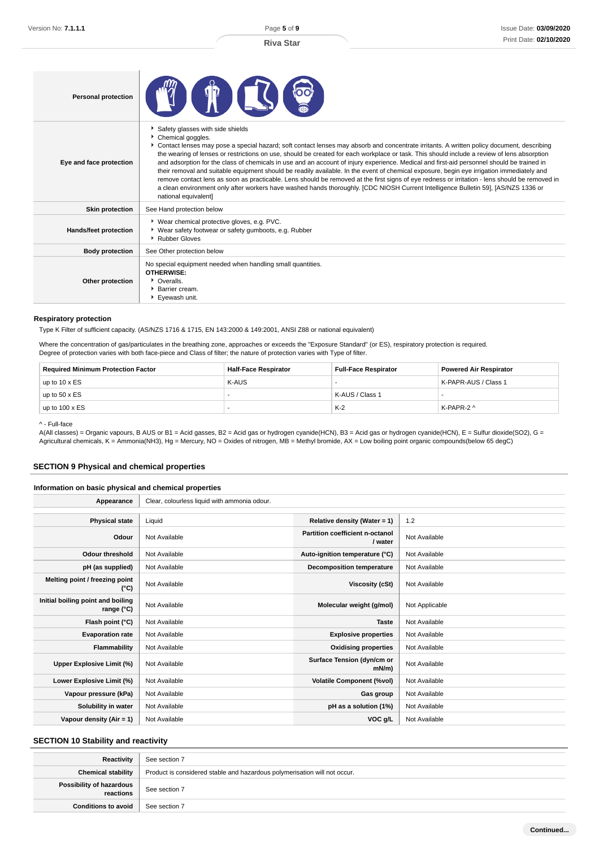| <b>Personal protection</b> |                                                                                                                                                                                                                                                                                                                                                                                                                                                                                                                                                                                                                                                                                                                                                                                                                                                                                                                                                                |
|----------------------------|----------------------------------------------------------------------------------------------------------------------------------------------------------------------------------------------------------------------------------------------------------------------------------------------------------------------------------------------------------------------------------------------------------------------------------------------------------------------------------------------------------------------------------------------------------------------------------------------------------------------------------------------------------------------------------------------------------------------------------------------------------------------------------------------------------------------------------------------------------------------------------------------------------------------------------------------------------------|
| Eye and face protection    | Safety glasses with side shields<br>Chemical goggles.<br>▶ Contact lenses may pose a special hazard; soft contact lenses may absorb and concentrate irritants. A written policy document, describing<br>the wearing of lenses or restrictions on use, should be created for each workplace or task. This should include a review of lens absorption<br>and adsorption for the class of chemicals in use and an account of injury experience. Medical and first-aid personnel should be trained in<br>their removal and suitable equipment should be readily available. In the event of chemical exposure, begin eye irrigation immediately and<br>remove contact lens as soon as practicable. Lens should be removed at the first signs of eye redness or irritation - lens should be removed in<br>a clean environment only after workers have washed hands thoroughly. [CDC NIOSH Current Intelligence Bulletin 59], [AS/NZS 1336 or<br>national equivalent] |
| <b>Skin protection</b>     | See Hand protection below                                                                                                                                                                                                                                                                                                                                                                                                                                                                                                                                                                                                                                                                                                                                                                                                                                                                                                                                      |
| Hands/feet protection      | ▶ Wear chemical protective gloves, e.g. PVC.<br>▶ Wear safety footwear or safety gumboots, e.g. Rubber<br>▶ Rubber Gloves                                                                                                                                                                                                                                                                                                                                                                                                                                                                                                                                                                                                                                                                                                                                                                                                                                      |
| <b>Body protection</b>     | See Other protection below                                                                                                                                                                                                                                                                                                                                                                                                                                                                                                                                                                                                                                                                                                                                                                                                                                                                                                                                     |
| Other protection           | No special equipment needed when handling small quantities.<br><b>OTHERWISE:</b><br>• Overalls.<br>▶ Barrier cream.<br>▶ Evewash unit.                                                                                                                                                                                                                                                                                                                                                                                                                                                                                                                                                                                                                                                                                                                                                                                                                         |

### **Respiratory protection**

Type K Filter of sufficient capacity. (AS/NZS 1716 & 1715, EN 143:2000 & 149:2001, ANSI Z88 or national equivalent)

Where the concentration of gas/particulates in the breathing zone, approaches or exceeds the "Exposure Standard" (or ES), respiratory protection is required. Degree of protection varies with both face-piece and Class of filter; the nature of protection varies with Type of filter.

| <b>Required Minimum Protection Factor</b> | <b>Half-Face Respirator</b> | <b>Full-Face Respirator</b> | <b>Powered Air Respirator</b> |
|-------------------------------------------|-----------------------------|-----------------------------|-------------------------------|
| up to $10 \times ES$                      | K-AUS                       |                             | K-PAPR-AUS / Class 1          |
| up to $50 \times ES$                      |                             | K-AUS / Class 1             |                               |
| up to $100 \times ES$                     |                             | $K-2$                       | K-PAPR-2 ^                    |

^ - Full-face

A(All classes) = Organic vapours, B AUS or B1 = Acid gasses, B2 = Acid gas or hydrogen cyanide(HCN), B3 = Acid gas or hydrogen cyanide(HCN), E = Sulfur dioxide(SO2), G = Agricultural chemicals, K = Ammonia(NH3), Hg = Mercury, NO = Oxides of nitrogen, MB = Methyl bromide, AX = Low boiling point organic compounds(below 65 degC)

# **SECTION 9 Physical and chemical properties**

### **Information on basic physical and chemical properties**

| Appearance                                      | Clear, colourless liquid with ammonia odour. |                                            |                |
|-------------------------------------------------|----------------------------------------------|--------------------------------------------|----------------|
|                                                 |                                              |                                            |                |
| <b>Physical state</b>                           | Liquid                                       | Relative density (Water = 1)               | 1.2            |
| Odour                                           | Not Available                                | Partition coefficient n-octanol<br>/ water | Not Available  |
| <b>Odour threshold</b>                          | Not Available                                | Auto-ignition temperature (°C)             | Not Available  |
| pH (as supplied)                                | Not Available                                | <b>Decomposition temperature</b>           | Not Available  |
| Melting point / freezing point<br>(°C)          | Not Available                                | Viscosity (cSt)                            | Not Available  |
| Initial boiling point and boiling<br>range (°C) | Not Available                                | Molecular weight (g/mol)                   | Not Applicable |
| Flash point (°C)                                | Not Available                                | <b>Taste</b>                               | Not Available  |
| <b>Evaporation rate</b>                         | Not Available                                | <b>Explosive properties</b>                | Not Available  |
| Flammability                                    | Not Available                                | <b>Oxidising properties</b>                | Not Available  |
| Upper Explosive Limit (%)                       | Not Available                                | Surface Tension (dyn/cm or<br>$mN/m$ )     | Not Available  |
| Lower Explosive Limit (%)                       | Not Available                                | <b>Volatile Component (%vol)</b>           | Not Available  |
| Vapour pressure (kPa)                           | Not Available                                | Gas group                                  | Not Available  |
| Solubility in water                             | Not Available                                | pH as a solution (1%)                      | Not Available  |
| Vapour density (Air = 1)                        | Not Available                                | VOC g/L                                    | Not Available  |

# **SECTION 10 Stability and reactivity**

| Reactivity                              | See section 7                                                             |
|-----------------------------------------|---------------------------------------------------------------------------|
| <b>Chemical stability</b>               | Product is considered stable and hazardous polymerisation will not occur. |
| Possibility of hazardous<br>  reactions | See section 7                                                             |
| <b>Conditions to avoid</b>              | See section 7                                                             |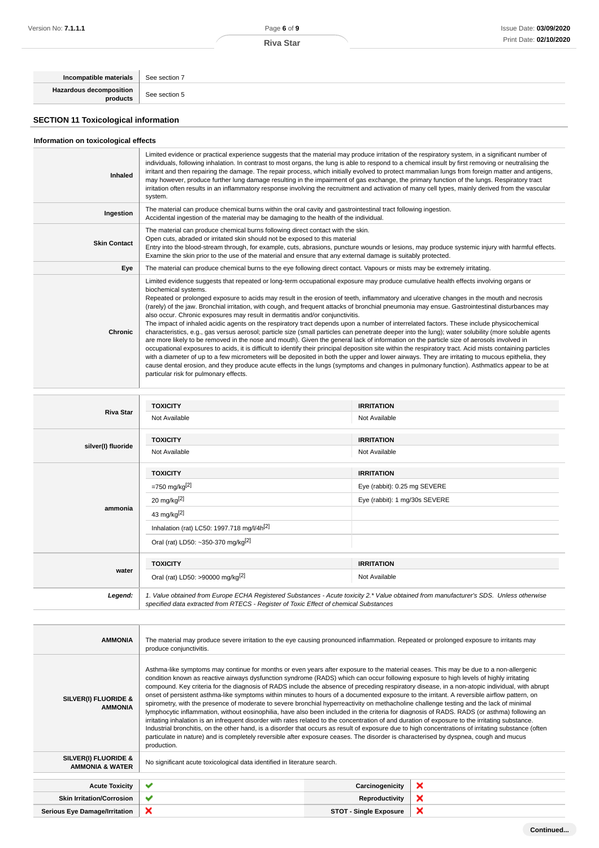**Riva Star**

| Incompatible materials                      | See section 7 |
|---------------------------------------------|---------------|
| Hazardous decomposition<br>products         | See section 5 |
| <b>SECTION 11 Toxicological information</b> |               |

# **Information on toxicological effects**

| Inhaled             | Limited evidence or practical experience suggests that the material may produce irritation of the respiratory system, in a significant number of<br>individuals, following inhalation. In contrast to most organs, the lung is able to respond to a chemical insult by first removing or neutralising the<br>irritant and then repairing the damage. The repair process, which initially evolved to protect mammalian lungs from foreign matter and antigens,<br>may however, produce further lung damage resulting in the impairment of gas exchange, the primary function of the lungs. Respiratory tract<br>irritation often results in an inflammatory response involving the recruitment and activation of many cell types, mainly derived from the vascular<br>system.                                                                                                                                                                                                                                                                                                                                                                                                                                                                                                                                                                                                                                                                                                                            |
|---------------------|---------------------------------------------------------------------------------------------------------------------------------------------------------------------------------------------------------------------------------------------------------------------------------------------------------------------------------------------------------------------------------------------------------------------------------------------------------------------------------------------------------------------------------------------------------------------------------------------------------------------------------------------------------------------------------------------------------------------------------------------------------------------------------------------------------------------------------------------------------------------------------------------------------------------------------------------------------------------------------------------------------------------------------------------------------------------------------------------------------------------------------------------------------------------------------------------------------------------------------------------------------------------------------------------------------------------------------------------------------------------------------------------------------------------------------------------------------------------------------------------------------|
| Ingestion           | The material can produce chemical burns within the oral cavity and gastrointestinal tract following ingestion.<br>Accidental ingestion of the material may be damaging to the health of the individual.                                                                                                                                                                                                                                                                                                                                                                                                                                                                                                                                                                                                                                                                                                                                                                                                                                                                                                                                                                                                                                                                                                                                                                                                                                                                                                 |
| <b>Skin Contact</b> | The material can produce chemical burns following direct contact with the skin.<br>Open cuts, abraded or irritated skin should not be exposed to this material<br>Entry into the blood-stream through, for example, cuts, abrasions, puncture wounds or lesions, may produce systemic injury with harmful effects.<br>Examine the skin prior to the use of the material and ensure that any external damage is suitably protected.                                                                                                                                                                                                                                                                                                                                                                                                                                                                                                                                                                                                                                                                                                                                                                                                                                                                                                                                                                                                                                                                      |
| Eye                 | The material can produce chemical burns to the eye following direct contact. Vapours or mists may be extremely irritating.                                                                                                                                                                                                                                                                                                                                                                                                                                                                                                                                                                                                                                                                                                                                                                                                                                                                                                                                                                                                                                                                                                                                                                                                                                                                                                                                                                              |
| Chronic             | Limited evidence suggests that repeated or long-term occupational exposure may produce cumulative health effects involving organs or<br>biochemical systems.<br>Repeated or prolonged exposure to acids may result in the erosion of teeth, inflammatory and ulcerative changes in the mouth and necrosis<br>(rarely) of the jaw. Bronchial irritation, with cough, and frequent attacks of bronchial pneumonia may ensue. Gastrointestinal disturbances may<br>also occur. Chronic exposures may result in dermatitis and/or conjunctivitis.<br>The impact of inhaled acidic agents on the respiratory tract depends upon a number of interrelated factors. These include physicochemical<br>characteristics, e.g., gas versus aerosol; particle size (small particles can penetrate deeper into the lung); water solubility (more soluble agents<br>are more likely to be removed in the nose and mouth). Given the general lack of information on the particle size of aerosols involved in<br>occupational exposures to acids, it is difficult to identify their principal deposition site within the respiratory tract. Acid mists containing particles<br>with a diameter of up to a few micrometers will be deposited in both the upper and lower airways. They are irritating to mucous epithelia, they<br>cause dental erosion, and they produce acute effects in the lungs (symptoms and changes in pulmonary function). Asthmatics appear to be at<br>particular risk for pulmonary effects. |

| <b>Riva Star</b>   | <b>TOXICITY</b>                                                                                                                                                                                                                 | <b>IRRITATION</b>             |
|--------------------|---------------------------------------------------------------------------------------------------------------------------------------------------------------------------------------------------------------------------------|-------------------------------|
|                    | Not Available                                                                                                                                                                                                                   | Not Available                 |
|                    | <b>TOXICITY</b>                                                                                                                                                                                                                 | <b>IRRITATION</b>             |
| silver(I) fluoride | Not Available                                                                                                                                                                                                                   | Not Available                 |
|                    | <b>TOXICITY</b>                                                                                                                                                                                                                 | <b>IRRITATION</b>             |
|                    | $= 750$ mg/kg <sup>[2]</sup>                                                                                                                                                                                                    | Eye (rabbit): 0.25 mg SEVERE  |
|                    | 20 mg/kg $[2]$                                                                                                                                                                                                                  | Eye (rabbit): 1 mg/30s SEVERE |
| ammonia            | 43 mg/kg[2]                                                                                                                                                                                                                     |                               |
|                    | Inhalation (rat) LC50: 1997.718 mg/l/4h <sup>[2]</sup>                                                                                                                                                                          |                               |
|                    | Oral (rat) LD50: ~350-370 mg/kg <sup>[2]</sup>                                                                                                                                                                                  |                               |
|                    | <b>TOXICITY</b>                                                                                                                                                                                                                 | <b>IRRITATION</b>             |
| water              | Oral (rat) LD50: >90000 mg/kg <sup>[2]</sup>                                                                                                                                                                                    | Not Available                 |
| Legend:            | 1. Value obtained from Europe ECHA Registered Substances - Acute toxicity 2.* Value obtained from manufacturer's SDS. Unless otherwise<br>specified data extracted from RTECS - Register of Toxic Effect of chemical Substances |                               |

| <b>AMMONIA</b>                                     | The material may produce severe irritation to the eye causing pronounced inflammation. Repeated or prolonged exposure to irritants may<br>produce conjunctivitis.                                                                                                                                                                                                                                                                                                                                                                                                                                                                                                                                                                                                                                                                                                                                                                                                                                                                                                                                                                                                                                                                                                                                                                             |                               |   |
|----------------------------------------------------|-----------------------------------------------------------------------------------------------------------------------------------------------------------------------------------------------------------------------------------------------------------------------------------------------------------------------------------------------------------------------------------------------------------------------------------------------------------------------------------------------------------------------------------------------------------------------------------------------------------------------------------------------------------------------------------------------------------------------------------------------------------------------------------------------------------------------------------------------------------------------------------------------------------------------------------------------------------------------------------------------------------------------------------------------------------------------------------------------------------------------------------------------------------------------------------------------------------------------------------------------------------------------------------------------------------------------------------------------|-------------------------------|---|
| SILVER(I) FLUORIDE &<br><b>AMMONIA</b>             | Asthma-like symptoms may continue for months or even years after exposure to the material ceases. This may be due to a non-allergenic<br>condition known as reactive airways dysfunction syndrome (RADS) which can occur following exposure to high levels of highly irritating<br>compound. Key criteria for the diagnosis of RADS include the absence of preceding respiratory disease, in a non-atopic individual, with abrupt<br>onset of persistent asthma-like symptoms within minutes to hours of a documented exposure to the irritant. A reversible airflow pattern, on<br>spirometry, with the presence of moderate to severe bronchial hyperreactivity on methacholine challenge testing and the lack of minimal<br>lymphocytic inflammation, without eosinophilia, have also been included in the criteria for diagnosis of RADS. RADS (or asthma) following an<br>irritating inhalation is an infrequent disorder with rates related to the concentration of and duration of exposure to the irritating substance.<br>Industrial bronchitis, on the other hand, is a disorder that occurs as result of exposure due to high concentrations of irritating substance (often<br>particulate in nature) and is completely reversible after exposure ceases. The disorder is characterised by dyspnea, cough and mucus<br>production. |                               |   |
| SILVER(I) FLUORIDE &<br><b>AMMONIA &amp; WATER</b> | No significant acute toxicological data identified in literature search.                                                                                                                                                                                                                                                                                                                                                                                                                                                                                                                                                                                                                                                                                                                                                                                                                                                                                                                                                                                                                                                                                                                                                                                                                                                                      |                               |   |
| <b>Acute Toxicity</b>                              | ✔                                                                                                                                                                                                                                                                                                                                                                                                                                                                                                                                                                                                                                                                                                                                                                                                                                                                                                                                                                                                                                                                                                                                                                                                                                                                                                                                             | Carcinogenicity               | × |
| <b>Skin Irritation/Corrosion</b>                   | ✔                                                                                                                                                                                                                                                                                                                                                                                                                                                                                                                                                                                                                                                                                                                                                                                                                                                                                                                                                                                                                                                                                                                                                                                                                                                                                                                                             |                               | × |
|                                                    |                                                                                                                                                                                                                                                                                                                                                                                                                                                                                                                                                                                                                                                                                                                                                                                                                                                                                                                                                                                                                                                                                                                                                                                                                                                                                                                                               | Reproductivity                |   |
| <b>Serious Eye Damage/Irritation</b>               | ×                                                                                                                                                                                                                                                                                                                                                                                                                                                                                                                                                                                                                                                                                                                                                                                                                                                                                                                                                                                                                                                                                                                                                                                                                                                                                                                                             | <b>STOT - Single Exposure</b> | × |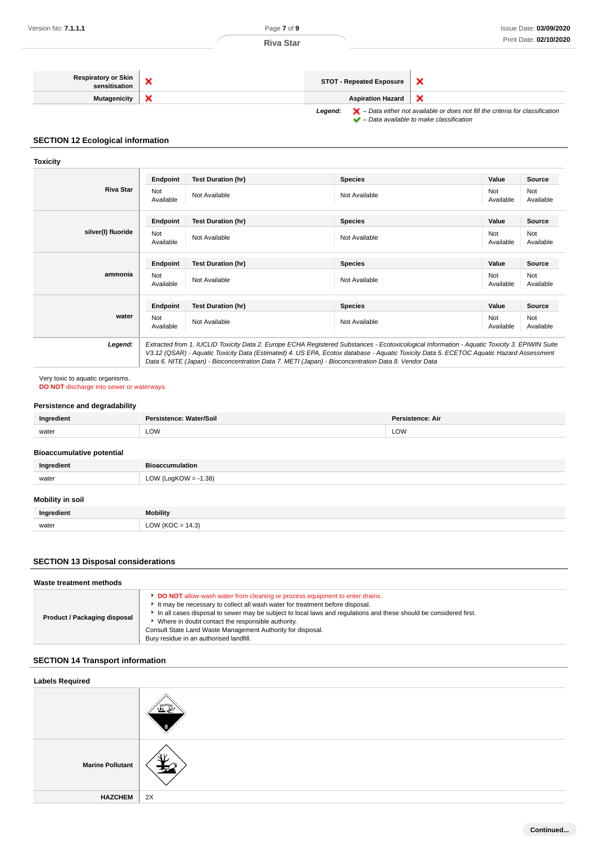

### **SECTION 12 Ecological information**

### **Toxicity**

| Endpoint         | <b>Test Duration (hr)</b> | <b>Species</b> | Value<br>Source                      |
|------------------|---------------------------|----------------|--------------------------------------|
| Not<br>Available | Not Available             | Not Available  | Not<br>Not<br>Available<br>Available |
| Endpoint         | <b>Test Duration (hr)</b> | <b>Species</b> | Value<br>Source                      |
| Not<br>Available | Not Available             | Not Available  | Not<br>Not<br>Available<br>Available |
| Endpoint         | <b>Test Duration (hr)</b> | <b>Species</b> | Value<br>Source                      |
| Not<br>Available | Not Available             | Not Available  | Not<br>Not<br>Available<br>Available |
| Endpoint         | <b>Test Duration (hr)</b> | <b>Species</b> | Value<br>Source                      |
| Not<br>Available | Not Available             | Not Available  | Not<br>Not<br>Available<br>Available |
|                  |                           |                |                                      |

V3.12 (QSAR) - Aquatic Toxicity Data (Estimated) 4. US EPA, Ecotox database - Aquatic Toxicity Data 5. ECETOC Aquatic Hazard Assessment Data 6. NITE (Japan) - Bioconcentration Data 7. METI (Japan) - Bioconcentration Data 8. Vendor Data

### Very toxic to aquatic organisms.

**DO NOT** discharge into sewer or waterways.

### **Persistence and degradability**

| امتاه<br><u>Ing</u> | Vater/Soil<br>ence:<br>. | Dar.<br>stence: Air |
|---------------------|--------------------------|---------------------|
| water               | LOW                      | LOW                 |

### **Bioaccumulative potential**

| Ingredient              | <b>Bioaccumulation</b>  |  |
|-------------------------|-------------------------|--|
| water                   | LOW (LogKOW = $-1.38$ ) |  |
| <b>Mobility in soil</b> |                         |  |
| Ingredient              | Mobility                |  |
| water                   | LOW (KOC = $14.3$ )     |  |

### **SECTION 13 Disposal considerations**

| DO NOT allow wash water from cleaning or process equipment to enter drains.<br>It may be necessary to collect all wash water for treatment before disposal.<br>In all cases disposal to sewer may be subject to local laws and regulations and these should be considered first.<br>Product / Packaging disposal<br>• Where in doubt contact the responsible authority. | Waste treatment methods |  |
|-------------------------------------------------------------------------------------------------------------------------------------------------------------------------------------------------------------------------------------------------------------------------------------------------------------------------------------------------------------------------|-------------------------|--|
| Consult State Land Waste Management Authority for disposal.<br>Bury residue in an authorised landfill.                                                                                                                                                                                                                                                                  |                         |  |

# **SECTION 14 Transport information**

| <b>Labels Required</b>  |    |
|-------------------------|----|
|                         |    |
| <b>Marine Pollutant</b> | v  |
| <b>HAZCHEM</b>          | 2X |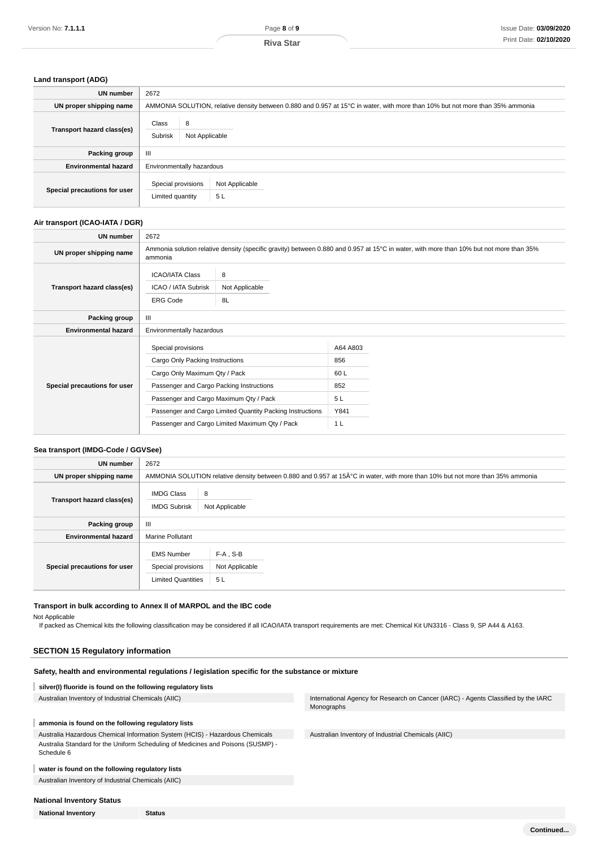### **Land transport (ADG)**

| <b>UN</b> number             | 2672                                                                                                                          |
|------------------------------|-------------------------------------------------------------------------------------------------------------------------------|
| UN proper shipping name      | AMMONIA SOLUTION, relative density between 0.880 and 0.957 at 15°C in water, with more than 10% but not more than 35% ammonia |
| Transport hazard class(es)   | Class<br>8<br>Subrisk<br>Not Applicable                                                                                       |
| Packing group                | Ш                                                                                                                             |
| <b>Environmental hazard</b>  | Environmentally hazardous                                                                                                     |
| Special precautions for user | Special provisions<br>Not Applicable<br>5 <sub>L</sub><br>Limited quantity                                                    |

### **Air transport (ICAO-IATA / DGR)**

| <b>UN number</b>             | 2672                                                             |                                                                                                                                         |                |  |
|------------------------------|------------------------------------------------------------------|-----------------------------------------------------------------------------------------------------------------------------------------|----------------|--|
| UN proper shipping name      | ammonia                                                          | Ammonia solution relative density (specific gravity) between 0.880 and 0.957 at 15°C in water, with more than 10% but not more than 35% |                |  |
| Transport hazard class(es)   | <b>ICAO/IATA Class</b><br>ICAO / IATA Subrisk<br><b>ERG Code</b> | 8<br>Not Applicable<br>8L                                                                                                               |                |  |
| Packing group                | Ш                                                                |                                                                                                                                         |                |  |
| <b>Environmental hazard</b>  |                                                                  | Environmentally hazardous                                                                                                               |                |  |
| Special precautions for user | Special provisions                                               |                                                                                                                                         | A64 A803       |  |
|                              | Cargo Only Packing Instructions                                  |                                                                                                                                         | 856            |  |
|                              | Cargo Only Maximum Qty / Pack                                    |                                                                                                                                         | 60 L           |  |
|                              | Passenger and Cargo Packing Instructions                         |                                                                                                                                         | 852            |  |
|                              | Passenger and Cargo Maximum Qty / Pack                           |                                                                                                                                         | 5L             |  |
|                              | Passenger and Cargo Limited Quantity Packing Instructions        |                                                                                                                                         | Y841           |  |
|                              |                                                                  | Passenger and Cargo Limited Maximum Qty / Pack                                                                                          | 1 <sub>L</sub> |  |

# **Sea transport (IMDG-Code / GGVSee)**

| <b>UN number</b>             | 2672                                                                 |                                                                                                                              |
|------------------------------|----------------------------------------------------------------------|------------------------------------------------------------------------------------------------------------------------------|
| UN proper shipping name      |                                                                      | AMMONIA SOLUTION relative density between 0.880 and 0.957 at 15°C in water, with more than 10% but not more than 35% ammonia |
| Transport hazard class(es)   | <b>IMDG Class</b><br><b>IMDG Subrisk</b>                             | 8<br>Not Applicable                                                                                                          |
| Packing group                | Ш                                                                    |                                                                                                                              |
| <b>Environmental hazard</b>  | <b>Marine Pollutant</b>                                              |                                                                                                                              |
| Special precautions for user | <b>EMS Number</b><br>Special provisions<br><b>Limited Quantities</b> | $F-A$ , S-B<br>Not Applicable<br>5L                                                                                          |

# **Transport in bulk according to Annex II of MARPOL and the IBC code**

Not Applicable

If packed as Chemical kits the following classification may be considered if all ICAO/IATA transport requirements are met: Chemical Kit UN3316 - Class 9, SP A44 & A163.

# **SECTION 15 Regulatory information**

# **Safety, health and environmental regulations / legislation specific for the substance or mixture**

**silver(I) fluoride is found on the following regulatory lists**

# **ammonia is found on the following regulatory lists**

Australia Hazardous Chemical Information System (HCIS) - Hazardous Chemicals Australia Standard for the Uniform Scheduling of Medicines and Poisons (SUSMP) - Schedule 6

# **water is found on the following regulatory lists**

Australian Inventory of Industrial Chemicals (AIIC)

# **National Inventory Status**

**National Inventory Status**

Australian Inventory of Industrial Chemicals (AIIC) **International Agency for Research on Cancer (IARC)** - Agents Classified by the IARC Monographs

Australian Inventory of Industrial Chemicals (AIIC)